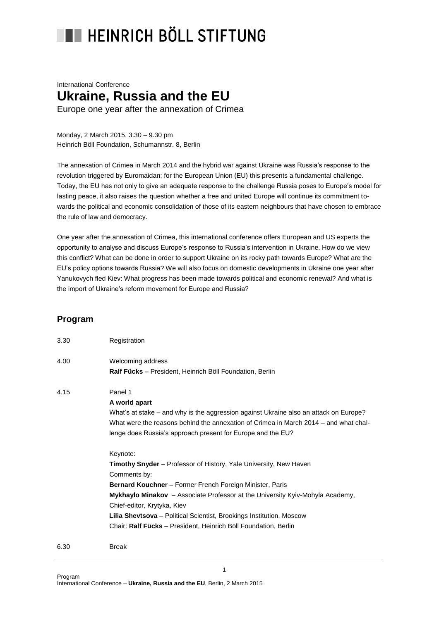## **THE HEINRICH BÖLL STIFTUNG**

## International Conference **Ukraine, Russia and the EU** Europe one year after the annexation of Crimea

Monday, 2 March 2015, 3.30 – 9.30 pm Heinrich Böll Foundation, Schumannstr. 8, Berlin

The annexation of Crimea in March 2014 and the hybrid war against Ukraine was Russia's response to the revolution triggered by Euromaidan; for the European Union (EU) this presents a fundamental challenge. Today, the EU has not only to give an adequate response to the challenge Russia poses to Europe's model for lasting peace, it also raises the question whether a free and united Europe will continue its commitment towards the political and economic consolidation of those of its eastern neighbours that have chosen to embrace the rule of law and democracy.

One year after the annexation of Crimea, this international conference offers European and US experts the opportunity to analyse and discuss Europe's response to Russia's intervention in Ukraine. How do we view this conflict? What can be done in order to support Ukraine on its rocky path towards Europe? What are the EU's policy options towards Russia? We will also focus on domestic developments in Ukraine one year after Yanukovych fled Kiev: What progress has been made towards political and economic renewal? And what is the import of Ukraine's reform movement for Europe and Russia?

## **Program**

| 3.30 | Registration                                                                          |
|------|---------------------------------------------------------------------------------------|
| 4.00 | Welcoming address                                                                     |
|      | Ralf Fücks - President, Heinrich Böll Foundation, Berlin                              |
| 4.15 | Panel 1                                                                               |
|      | A world apart                                                                         |
|      | What's at stake – and why is the aggression against Ukraine also an attack on Europe? |
|      | What were the reasons behind the annexation of Crimea in March 2014 – and what chal-  |
|      | lenge does Russia's approach present for Europe and the EU?                           |
|      | Keynote:                                                                              |
|      | <b>Timothy Snyder</b> – Professor of History, Yale University, New Haven              |
|      | Comments by:                                                                          |
|      | <b>Bernard Kouchner</b> – Former French Foreign Minister, Paris                       |
|      | Mykhaylo Minakov - Associate Professor at the University Kyiv-Mohyla Academy,         |
|      | Chief-editor, Krytyka, Kiev                                                           |
|      | Lilia Shevtsova - Political Scientist, Brookings Institution, Moscow                  |
|      | Chair: Ralf Fücks - President, Heinrich Böll Foundation, Berlin                       |
| 6.30 | <b>Break</b>                                                                          |

1